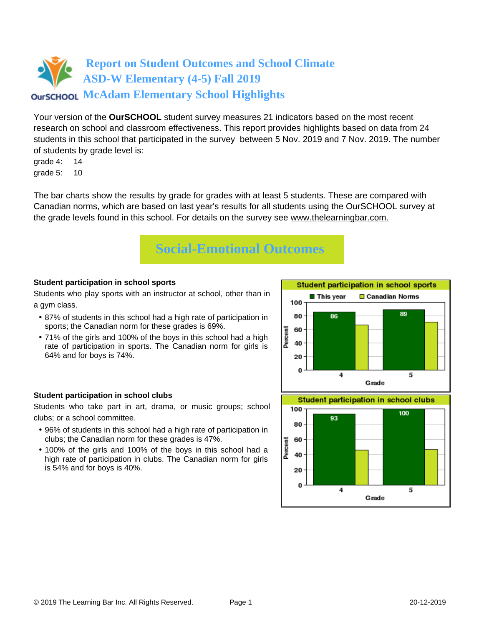Your version of the **OurSCHOOL** student survey measures 21 indicators based on the most recent research on school and classroom effectiveness. This report provides highlights based on data from 24 students in this school that participated in the survey between 5 Nov. 2019 and 7 Nov. 2019. The number of students by grade level is:

grade 4: 14 grade 5: 10

The bar charts show the results by grade for grades with at least 5 students. These are compared with Canadian norms, which are based on last year's results for all students using the OurSCHOOL survey at the grade levels found in this school. For details on the survey see [www.thelearningbar.com.](www.thelearningbar.com)



## **Student participation in school sports**

Students who play sports with an instructor at school, other than in a gym class.

- 87% of students in this school had a high rate of participation in sports; the Canadian norm for these grades is 69%.
- 71% of the girls and 100% of the boys in this school had a high rate of participation in sports. The Canadian norm for girls is 64% and for boys is 74%.

## **Student participation in school clubs**

Students who take part in art, drama, or music groups; school clubs; or a school committee.

- 96% of students in this school had a high rate of participation in clubs; the Canadian norm for these grades is 47%.
- 100% of the girls and 100% of the boys in this school had a high rate of participation in clubs. The Canadian norm for girls is 54% and for boys is 40%.

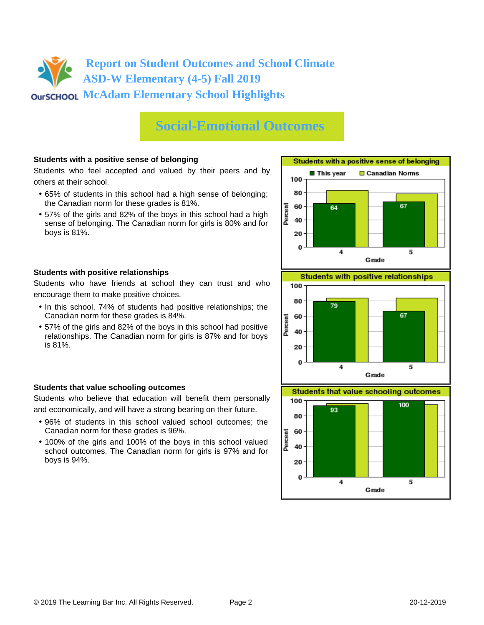# **Social-Emotional Outcomes**

### **Students with a positive sense of belonging**

Students who feel accepted and valued by their peers and by others at their school.

- 65% of students in this school had a high sense of belonging; the Canadian norm for these grades is 81%.
- 57% of the girls and 82% of the boys in this school had a high sense of belonging. The Canadian norm for girls is 80% and for boys is 81%.





Students who have friends at school they can trust and who encourage them to make positive choices.

- In this school, 74% of students had positive relationships; the Canadian norm for these grades is 84%.
- 57% of the girls and 82% of the boys in this school had positive relationships. The Canadian norm for girls is 87% and for boys is 81%.

### **Students that value schooling outcomes**

Students who believe that education will benefit them personally and economically, and will have a strong bearing on their future.

- 96% of students in this school valued school outcomes; the Canadian norm for these grades is 96%.
- 100% of the girls and 100% of the boys in this school valued school outcomes. The Canadian norm for girls is 97% and for boys is 94%.



**Students that value schooling outcomes** 

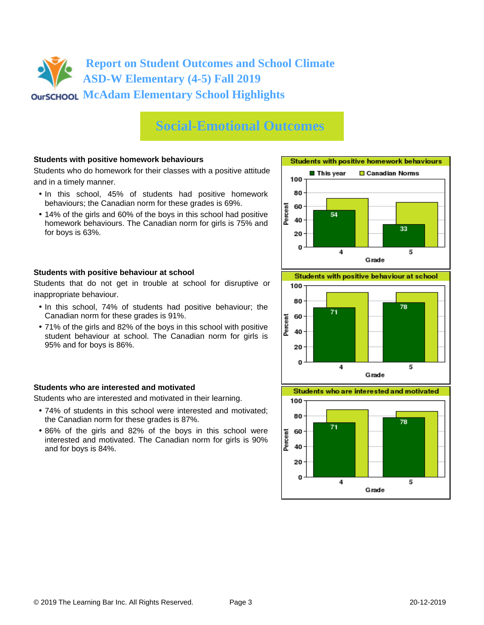# **Social-Emotional Outcomes**

### **Students with positive homework behaviours**

Students who do homework for their classes with a positive attitude and in a timely manner.

- In this school, 45% of students had positive homework behaviours; the Canadian norm for these grades is 69%.
- 14% of the girls and 60% of the boys in this school had positive homework behaviours. The Canadian norm for girls is 75% and for boys is 63%.

#### **Students with positive behaviour at school**

Students that do not get in trouble at school for disruptive or inappropriate behaviour.

- In this school, 74% of students had positive behaviour; the Canadian norm for these grades is 91%.
- 71% of the girls and 82% of the boys in this school with positive student behaviour at school. The Canadian norm for girls is 95% and for boys is 86%.

#### **Students who are interested and motivated**

Students who are interested and motivated in their learning.

- 74% of students in this school were interested and motivated; the Canadian norm for these grades is 87%.
- 86% of the girls and 82% of the boys in this school were interested and motivated. The Canadian norm for girls is 90% and for boys is 84%.







Grade

 $\overline{\mathbf{4}}$ 

20 O

5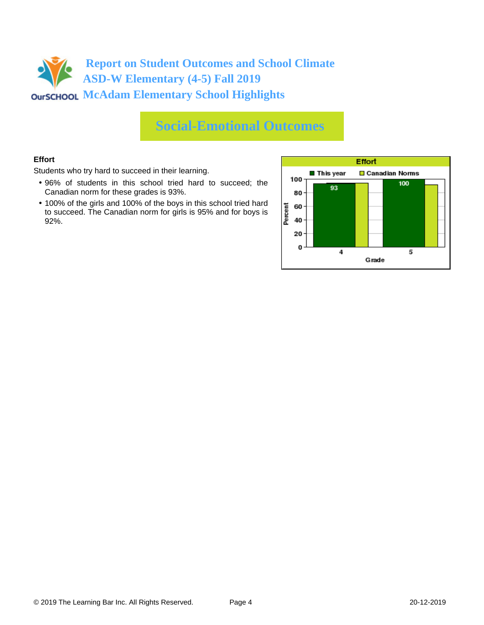

# **Social-Emotional Outcomes**

### **Effort**

Students who try hard to succeed in their learning.

- 96% of students in this school tried hard to succeed; the Canadian norm for these grades is 93%.
- 100% of the girls and 100% of the boys in this school tried hard to succeed. The Canadian norm for girls is 95% and for boys is 92%.

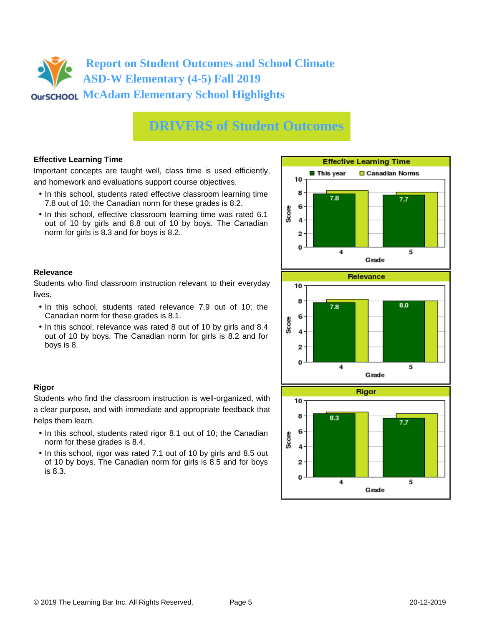# **DRIVERS of Student Outcomes**

### **Effective Learning Time**

Important concepts are taught well, class time is used efficiently, and homework and evaluations support course objectives.

- In this school, students rated effective classroom learning time 7.8 out of 10; the Canadian norm for these grades is 8.2.
- In this school, effective classroom learning time was rated 6.1 out of 10 by girls and 8.8 out of 10 by boys. The Canadian norm for girls is 8.3 and for boys is 8.2.

#### $\blacksquare$  This vear Canadian Norms 10 8  $7.8$  $7.7$ 6 Score 4  $\overline{2}$  $\bf{0}$  $\ddot{4}$ 5 Grade **Relevance** 10 8 8.0  $7.8$ 6 Score 4  $\overline{2}$  $\bf{0}$ 5  $\overline{\bf{4}}$ Grade **Rigor** 10

**Effective Learning Time** 



#### **Relevance**

**Rigor**

helps them learn.

is 8.3.

norm for these grades is 8.4.

Students who find classroom instruction relevant to their everyday lives.

- In this school, students rated relevance 7.9 out of 10; the Canadian norm for these grades is 8.1.
- In this school, relevance was rated 8 out of 10 by girls and 8.4 out of 10 by boys. The Canadian norm for girls is 8.2 and for boys is 8.

Students who find the classroom instruction is well-organized, with a clear purpose, and with immediate and appropriate feedback that

• In this school, students rated rigor 8.1 out of 10; the Canadian

• In this school, rigor was rated 7.1 out of 10 by girls and 8.5 out of 10 by boys. The Canadian norm for girls is 8.5 and for boys

#### © 2019 The Learning Bar Inc. All Rights Reserved. Page 5 20-12-2019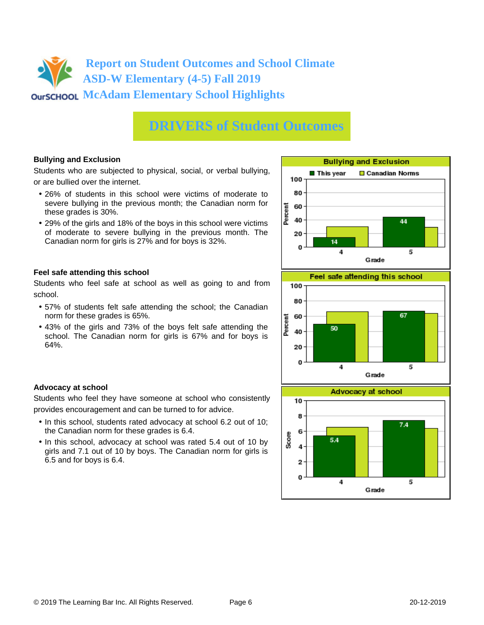# **DRIVERS of Student Outcomes**

### **Bullying and Exclusion**

Students who are subjected to physical, social, or verbal bullying, or are bullied over the internet.

- 26% of students in this school were victims of moderate to severe bullying in the previous month; the Canadian norm for these grades is 30%.
- 29% of the girls and 18% of the boys in this school were victims of moderate to severe bullying in the previous month. The Canadian norm for girls is 27% and for boys is 32%.

### **Feel safe attending this school**

Students who feel safe at school as well as going to and from school.

- 57% of students felt safe attending the school; the Canadian norm for these grades is 65%.
- 43% of the girls and 73% of the boys felt safe attending the school. The Canadian norm for girls is 67% and for boys is 64%.







### **Advocacy at school**

Students who feel they have someone at school who consistently provides encouragement and can be turned to for advice.

- In this school, students rated advocacy at school 6.2 out of 10; the Canadian norm for these grades is 6.4.
- In this school, advocacy at school was rated 5.4 out of 10 by girls and 7.1 out of 10 by boys. The Canadian norm for girls is 6.5 and for boys is 6.4.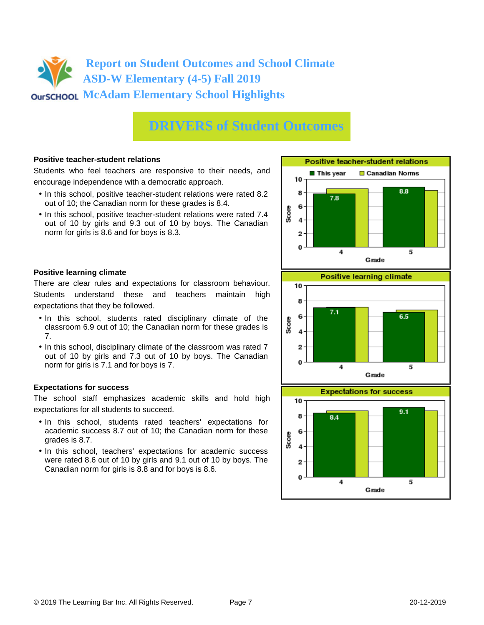# **DRIVERS of Student Outcomes**

#### **Positive teacher-student relations**

Students who feel teachers are responsive to their needs, and encourage independence with a democratic approach.

- In this school, positive teacher-student relations were rated 8.2 out of 10; the Canadian norm for these grades is 8.4.
- In this school, positive teacher-student relations were rated 7.4 out of 10 by girls and 9.3 out of 10 by boys. The Canadian norm for girls is 8.6 and for boys is 8.3.

#### **Positive learning climate**

There are clear rules and expectations for classroom behaviour. Students understand these and teachers maintain high expectations that they be followed.

- In this school, students rated disciplinary climate of the classroom 6.9 out of 10; the Canadian norm for these grades is 7.
- In this school, disciplinary climate of the classroom was rated 7 out of 10 by girls and 7.3 out of 10 by boys. The Canadian norm for girls is 7.1 and for boys is 7.

#### **Expectations for success**

The school staff emphasizes academic skills and hold high expectations for all students to succeed.

- In this school, students rated teachers' expectations for academic success 8.7 out of 10; the Canadian norm for these grades is 8.7.
- In this school, teachers' expectations for academic success were rated 8.6 out of 10 by girls and 9.1 out of 10 by boys. The Canadian norm for girls is 8.8 and for boys is 8.6.





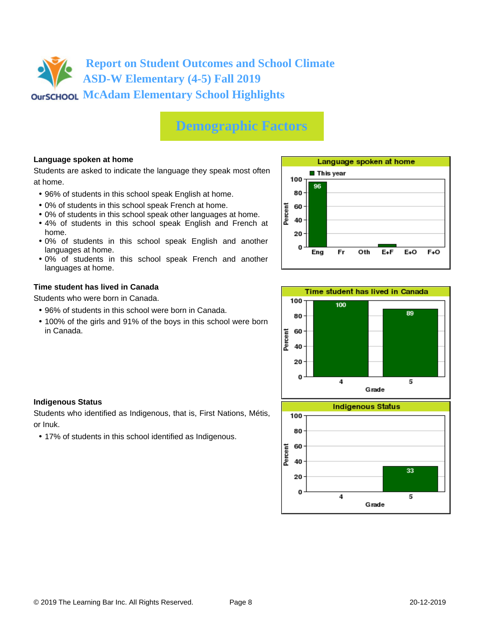# **Demographic Factors**

### **Language spoken at home**

Students are asked to indicate the language they speak most often at home.

- 96% of students in this school speak English at home.
- 0% of students in this school speak French at home.
- 0% of students in this school speak other languages at home.
- 4% of students in this school speak English and French at home.
- 0% of students in this school speak English and another languages at home.
- 0% of students in this school speak French and another languages at home.

#### **Time student has lived in Canada**

Students who were born in Canada.

- 96% of students in this school were born in Canada.
- 100% of the girls and 91% of the boys in this school were born in Canada.





#### **Indigenous Status**

Students who identified as Indigenous, that is, First Nations, Métis, or Inuk.

• 17% of students in this school identified as Indigenous.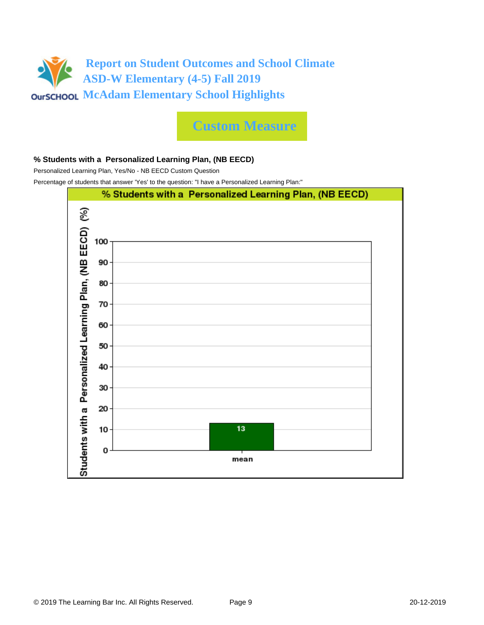

**Custom Measure**

#### **% Students with a Personalized Learning Plan, (NB EECD)**

Personalized Learning Plan, Yes/No - NB EECD Custom Question

Percentage of students that answer 'Yes' to the question: "I have a Personalized Learning Plan:"

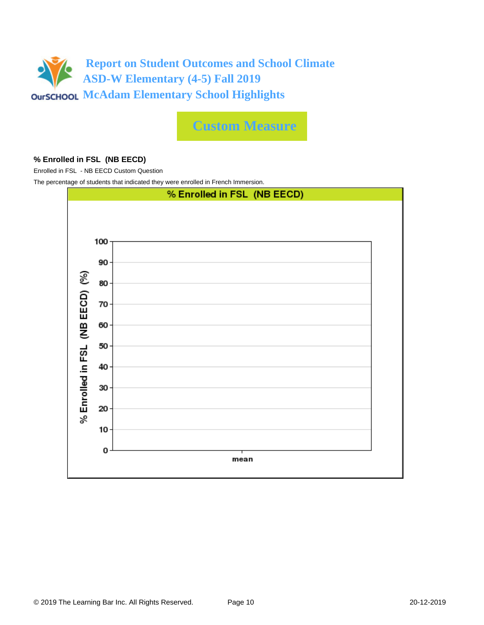

**Custom Measure**

#### **% Enrolled in FSL (NB EECD)**

Enrolled in FSL - NB EECD Custom Question

The percentage of students that indicated they were enrolled in French Immersion.